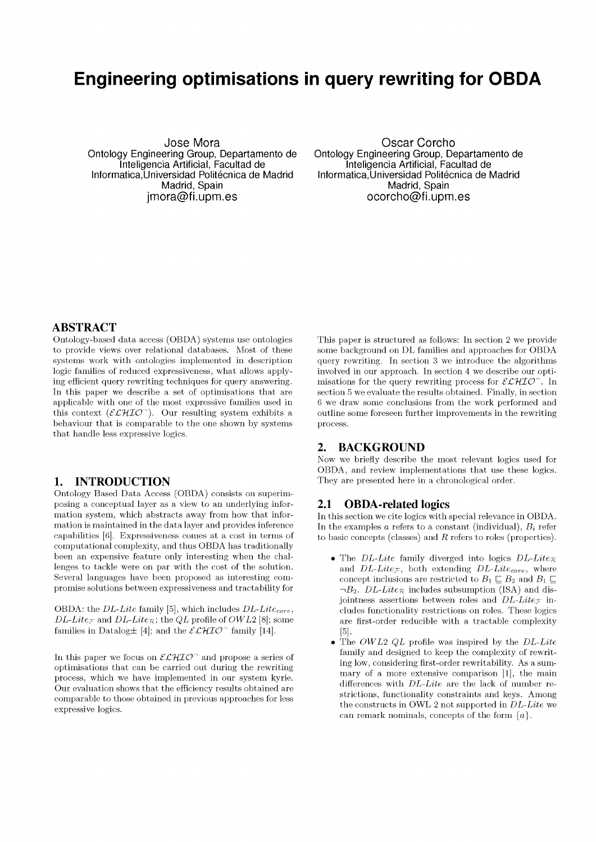# **Engineering optimisations in query rewriting for OBDA**

Jose Mora Ontology Engineering Group, Departamento de Inteligencia Artificial, Facultad de Informatica,Universidad Politécnica de Madrid Madrid, Spain [jmora@fi.upm.es](mailto:jmora@fi.upm.es) 

Oscar Corcho Ontology Engineering Group, Departamento de Inteligencia Artificial, Facultad de Informatica,Universidad Politécnica de Madrid Madrid, Spain [ocorcho@fi.upm.es](mailto:ocorcho@fi.upm.es) 

# ABSTRACT

Ontology-based data access (OBDA) systems use ontologies to provide views over relational databases. Most of these systems work with ontologies implemented in description logic families of reduced expressiveness, what allows applying efficient query rewriting techniques for query answering. In this paper we describe a set of optimisations that are applicable with one of the most expressive families used in this context  $(\mathcal{ELHIO}^-)$ . Our resulting system exhibits a behaviour that is comparable to the one shown by systems that handle less expressive logics.

## 1. INTRODUCTION

Ontology Based Data Access (OBDA) consists on superimposing a conceptual layer as a view to an underlying information system, which abstracts away from how that information is maintained in the data layer and provides inference capabilities [6]. Expressiveness comes at a cost in terms of computational complexity, and thus OBDA has traditionally been an expensive feature only interesting when the challenges to tackle were on par with the cost of the solution. Several languages have been proposed as interesting compromise solutions between expressiveness and tractability for

OBDA: the *DL-Lite* family [5], which includes *DL-Litecore,*   $DL\text{-}Lite_{\mathcal{F}}$  and  $DL\text{-}Lite_{\mathcal{R}}$ ; the  $QL$  profile of  $OWL2$  [8]; some families in Datalog  $\pm$  [4]; and the  $\mathcal{ELHIO}^-$  family [14].

In this paper we focus on  $\mathcal{ELHIO}^-$  and propose a series of optimisations that can be carried out during the rewriting process, which we have implemented in our system kyrie. Our evaluation shows that the efficiency results obtained are comparable to those obtained in previous approaches for less [expressive logics.](http://dx.doi.org/10.1145/2506182.2506188)

This paper is structured as follows: In section 2 we provide some background on DL families and approaches for OBDA query rewriting. In section 3 we introduce the algorithms involved in our approach. In section 4 we describe our optimisations for the query rewriting process for  $\mathcal{ELHIO}^-$ . In section 5 we evaluate the results obtained. Finally, in section 6 we draw some conclusions from the work performed and outline some foreseen further improvements in the rewriting process.

# 2. BACKGROUND

Now we briefly describe the most relevant logics used for OBDA, and review implementations that use these logics. They are presented here in a chronological order.

### 2.1 OBDA-related logics

In this section we cite logics with special relevance in OBDA. In the examples  $a$  refers to a constant (individual),  $B_i$  refer to basic concepts (classes) and *R* refers to roles (properties).

- The *DL-Lite* family diverged into logics  $DL\text{-}Like_{\mathcal{R}}$ and  $DL\text{-}Lite_{\mathcal{F}}$ , both extending  $DL\text{-}Lite_{core}$ , where concept inclusions are restricted to  $B_1 \sqsubseteq B_2$  and  $B_1 \sqsubseteq$  $\neg B_2$ . *DL-Lite<sub>R</sub>* includes subsumption (ISA) and disjointness assertions between roles and *DL-Lite^* includes functionality restrictions on roles. These logics are first-order reducible with a tractable complexity [5].
- The *OWL2 QL* profile was inspired by the *DL-Lite*  family and designed to keep the complexity of rewriting low, considering first-order rewritability. As a summary of a more extensive comparison [1], the main differences with *DL-Lite* are the lack of number restrictions, functionality constraints and keys. Among the constructs in OWL 2 not supported in *DL-Lite* we can remark nominals, concepts of the form  $\{a\}.$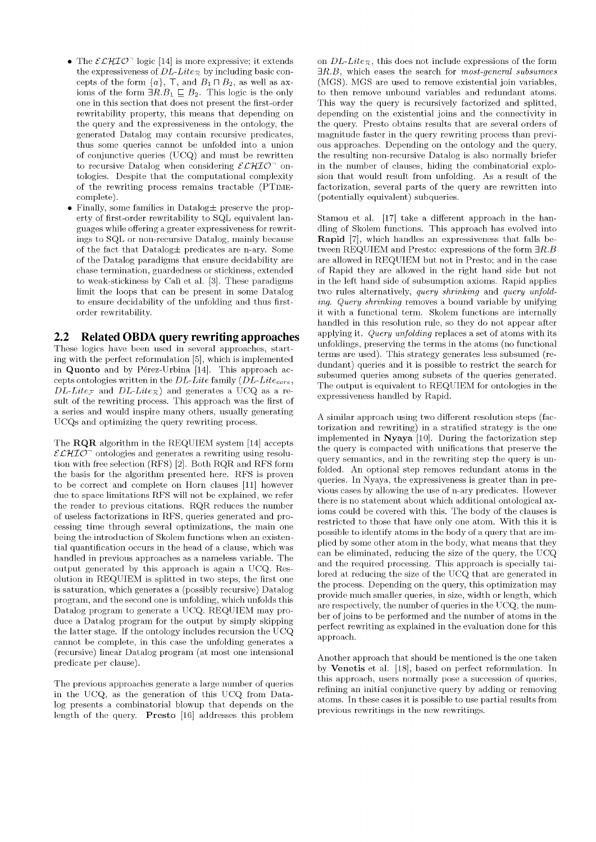- The  $\mathcal{ELHIO}^-$  logic [14] is more expressive; it extends the expressiveness of  $DL\text{-}Lie_\mathcal{R}$  by including basic concepts of the form  $\{a\}$ ,  $\top$ , and  $B_1 \sqcap B_2$ , as well as axioms of the form  $\exists R.B_1 \sqsubseteq B_2$ . This logic is the only one in this section that does not present the first-order rewritability property, this means that depending on the query and the expressiveness in the ontology, the generated Datalog may contain recursive predicates, thus some queries cannot be unfolded into a union of conjunctive queries (UCQ) and must be rewritten to recursive Datalog when considering  $\mathcal{ELHIO}^-$  ontologies. Despite that the computational complexity of the rewriting process remains tractable (PTlMEcomplete).
- Finally, some families in  $Database$  preserve the property of first-order rewritability to SQL equivalent languages while offering a greater expressiveness for rewritings to SQL or non-recursive Datalog, mainly because of the fact that Datalog $\pm$  predicates are n-ary. Some of the Datalog paradigms that ensure decidability are chase termination, guardedness or stickiness, extended to weak-stickiness by Calì et al. [3]. These paradigms limit the loops that can be present in some Datalog to ensure decidability of the unfolding and thus firstorder rewritability.

### 2.2 Related OBDA query rewriting approaches

These logics have been used in several approaches, starting with the perfect reformulation [5], which is implemented in **Quonto** and by Pérez-Urbina [14]. This approach accepts ontologies written in the *DL-Lite* family *(DL-Litecore,*   $DL\text{-}Lie\tau$  and  $DL\text{-}Lie\tau$ ) and generates a UCQ as a result of the rewriting process. This approach was the first of a series and would inspire many others, usually generating UCQs and optimizing the query rewriting process.

The **RQR** algorithm in the REQUIEM system [14] accepts  $\mathcal{ELHIO}^-$  ontologies and generates a rewriting using resolution with free selection (RFS) [2]. Both RQR and RFS form the basis for the algorithm presented here. RFS is proven to be correct and complete on Horn clauses [11] however due to space limitations RFS will not be explained, we refer the reader to previous citations. RQR reduces the number of useless factorizations in RFS, queries generated and processing time through several optimizations, the main one being the introduction of Skolem functions when an existential quantification occurs in the head of a clause, which was handled in previous approaches as a nameless variable. The output generated by this approach is again a UCQ. Resolution in REQUIEM is splitted in two steps, the first one is saturation, which generates a (possibly recursive) Datalog program, and the second one is unfolding, which unfolds this Datalog program to generate a UCQ. REQUIEM may produce a Datalog program for the output by simply skipping the latter stage. If the ontology includes recursion the UCQ cannot be complete, in this case the unfolding generates a (recursive) linear Datalog program (at most one intensional predicate per clause).

The previous approaches generate a large number of queries in the UCQ, as the generation of this UCQ from Datalog presents a combinatorial blowup that depends on the length of the query. **Presto** [16] addresses this problem

on  $DL\text{-}Lie_\mathcal{R}$ , this does not include expressions of the form *3R.B,* which eases the search for *most-general subsumees*  (MGS). MGS are used to remove existential join variables, to then remove unbound variables and redundant atoms. This way the query is recursively factorized and splitted, depending on the existential joins and the connectivity in the query. Presto obtains results that are several orders of magnitude faster in the query rewriting process than previous approaches. Depending on the ontology and the query, the resulting non-recursive Datalog is also normally briefer in the number of clauses, hiding the combinatorial explosion that would result from unfolding. As a result of the factorization, several parts of the query are rewritten into (potentially equivalent) subqueries.

Stamou et al. [17] take a different approach in the handling of Skolem functions. This approach has evolved into **Rapid** [7], which handles an expressiveness that falls between REQUIEM and Presto: expressions of the form *3R.B*  are allowed in REQUIEM but not in Presto; and in the case of Rapid they are allowed in the right hand side but not in the left hand side of subsumption axioms. Rapid applies two rules alternatively, *query shrinking* and *query unfolding. Query shrinking* removes a bound variable by unifying it with a functional term. Skolem functions are internally handled in this resolution rule, so they do not appear after applying it. *Query unfolding* replaces a set of atoms with its unfoldings, preserving the terms in the atoms (no functional terms are used). This strategy generates less subsumed (redundant) queries and it is possible to restrict the search for subsumed queries among subsets of the queries generated. The output is equivalent to REQUIEM for ontologies in the expressiveness handled by Rapid.

A similar approach using two different resolution steps (factorization and rewriting) in a stratified strategy is the one implemented in  $Nyaya$  [10]. During the factorization step the query is compacted with unifications that preserve the query semantics, and in the rewriting step the query is unfolded. An optional step removes redundant atoms in the queries. In Nyaya, the expressiveness is greater than in previous cases by allowing the use of n-ary predicates. However there is no statement about which additional ontological axioms could be covered with this. The body of the clauses is restricted to those that have only one atom. With this it is possible to identify atoms in the body of a query that are implied by some other atom in the body, what means that they can be eliminated, reducing the size of the query, the UCQ and the required processing. This approach is specially tailored at reducing the size of the UCQ that are generated in the process. Depending on the query, this optimization may provide much smaller queries, in size, width or length, which are respectively, the number of queries in the UCQ, the number of joins to be performed and the number of atoms in the perfect rewriting as explained in the evaluation done for this approach.

Another approach that should be mentioned is the one taken by **Venetis** et al. [18], based on perfect reformulation. In this approach, users normally pose a succession of queries, refining an initial conjunctive query by adding or removing atoms. In these cases it is possible to use partial results from previous rewritings in the new rewritings.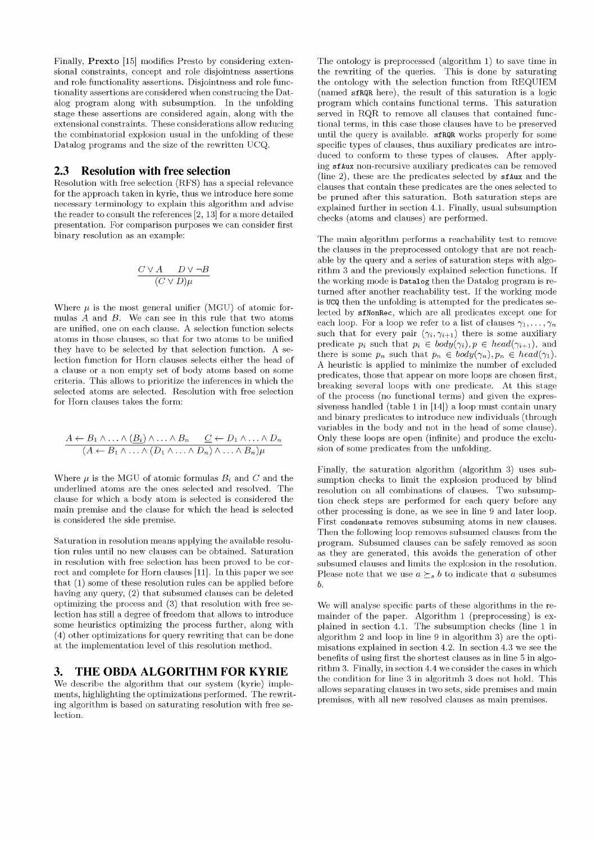Finally, Prexto [15] modifies Presto by considering extensional constraints, concept and role disjointness assertions and role functionality assertions. Disjointness and role functionality assertions are considered when construcing the Datalog program along with subsumption. In the unfolding stage these assertions are considered again, along with the extensional constraints. These considerations allow reducing the combinatorial explosion usual in the unfolding of these Datalog programs and the size of the rewritten UCQ.

#### 2.3 Resolution with free selection

Resolution with free selection (RFS) has a special relevance for the approach taken in kyrie, thus we introduce here some necessary terminology to explain this algorithm and advise the reader to consult the references [2, 13] for a more detailed presentation. For comparison purposes we can consider first binary resolution as an example:

$$
\frac{C\vee A \qquad D\vee \neg B}{(C\vee D)\mu}
$$

Where  $\mu$  is the most general unifier (MGU) of atomic formulas *A* and *B.* We can see in this rule that two atoms are unified, one on each clause. A selection function selects atoms in those clauses, so that for two atoms to be unified they have to be selected by that selection function. A selection function for Horn clauses selects either the head of a clause or a non empty set of body atoms based on some criteria. This allows to prioritize the inferences in which the selected atoms are selected. Resolution with free selection for Horn clauses takes the form:

$$
\frac{A \leftarrow B_1 \land \dots \land (B_i) \land \dots \land B_n \quad \underline{C} \leftarrow D_1 \land \dots \land D_n}{(A \leftarrow B_1 \land \dots \land (D_1 \land \dots \land D_n) \land \dots \land B_n)\mu}
$$

Where  $\mu$  is the MGU of atomic formulas  $B_i$  and  $C$  and the underlined atoms are the ones selected and resolved. The clause for which a body atom is selected is considered the main premise and the clause for which the head is selected is considered the side premise.

Saturation in resolution means applying the available resolution rules until no new clauses can be obtained. Saturation in resolution with free selection has been proved to be correct and complete for Horn clauses [11]. In this paper we see that (1) some of these resolution rules can be applied before having any query, (2) that subsumed clauses can be deleted optimizing the process and (3) that resolution with free selection has still a degree of freedom that allows to introduce some heuristics optimizing the process further, along with (4) other optimizations for query rewriting that can be done at the implementation level of this resolution method.

### 3. THE OBDA ALGORITHM FOR KYRIE

We describe the algorithm that our system (kyrie) implements, highlighting the optimizations performed. The rewriting algorithm is based on saturating resolution with free selection.

The ontology is preprocessed (algorithm 1) to save time in the rewriting of the queries. This is done by saturating the ontology with the selection function from REQUIEM (named sfRQR here), the result of this saturation is a logic program which contains functional terms. This saturation served in RQR to remove all clauses that contained functional terms, in this case those clauses have to be preserved until the query is available. sfRQR works properly for some specific types of clauses, thus auxiliary predicates are introduced to conform to these types of clauses. After applying sf Aux non-recursive auxiliary predicates can be removed (line 2), these are the predicates selected by sfAux and the clauses that contain these predicates are the ones selected to be pruned after this saturation. Both saturation steps are explained further in section 4.1. Finally, usual subsumption checks (atoms and clauses) are performed.

The main algorithm performs a reachability test to remove the clauses in the preprocessed ontology that are not reachable by the query and a series of saturation steps with algorithm 3 and the previously explained selection functions. If the working mode is Datalog then the Datalog program is returned after another reachability test. If the working mode is UCQ then the unfolding is attempted for the predicates selected by sfNonRec, which are all predicates except one for each loop. For a loop we refer to a list of clauses  $\gamma_1, \ldots, \gamma_n$ such that for every pair  $(\gamma_i, \gamma_{i+1})$  there is some auxiliary predicate  $p_i$  such that  $p_i \in body(\gamma_i), p \in head(\gamma_{i+1})$ , and there is some  $p_n$  such that  $p_n \in body(\gamma_n), p_n \in head(\gamma_1)$ . A heuristic is applied to minimize the number of excluded predicates, those that appear on more loops are chosen first, breaking several loops with one predicate. At this stage of the process (no functional terms) and given the expressiveness handled (table 1 in [14]) a loop must contain unary and binary predicates to introduce new individuals (through variables in the body and not in the head of some clause). Only these loops are open (infinite) and produce the exclusion of some predicates from the unfolding.

Finally, the saturation algorithm (algorithm 3) uses subsumption checks to limit the explosion produced by blind resolution on all combinations of clauses. Two subsumption check steps are performed for each query before any other processing is done, as we see in line 9 and later loop. First condensate removes subsuming atoms in new clauses. Then the following loop removes subsumed clauses from the program. Subsumed clauses can be safely removed as soon as they are generated, this avoids the generation of other subsumed clauses and limits the explosion in the resolution. Please note that we use  $a \succeq_{s} b$  to indicate that a subsumes *b.* 

We will analyse specific parts of these algorithms in the remainder of the paper. Algorithm 1 (preprocessing) is explained in section 4.1. The subsumption checks (line 1 in algorithm 2 and loop in line 9 in algorithm 3) are the optimisations explained in section 4.2. In section 4.3 we see the benefits of using first the shortest clauses as in line 5 in algorithm 3. Finally, in section 4.4 we consider the cases in which the condition for line 3 in algoritmh 3 does not hold. This allows separating clauses in two sets, side premises and main premises, with all new resolved clauses as main premises.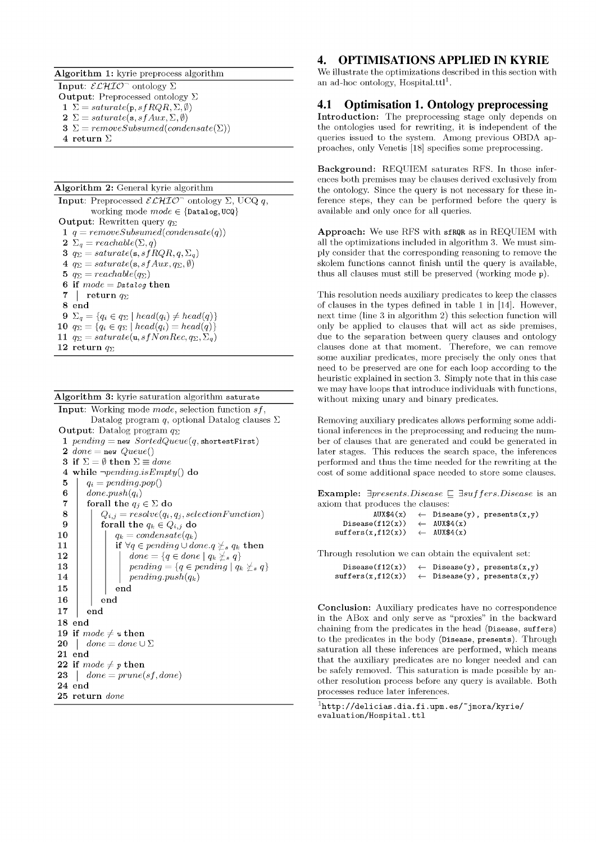**Algorithm 1:** kyrie preprocess algorithm

**Input:** *εCHIO*<sup> $\overline{\ }$ </sup> ontology Σ

**Output:** Preprocessed ontology Σ  $1 \Sigma = saturate(p, sfRQR, \Sigma, \emptyset)$ 

2  $\Sigma = saturate(\mathbf{s}, sfAux, \Sigma, \emptyset)$ 

- 3  $\Sigma =$  *removeSubsumed(condensate*( $\Sigma$ ))
- **4 return Σ**

#### **Algorithm 2:** General kyrie algorithm

**Input:** Preprocessed  $\mathcal{ELHIO}^-$  ontology  $\Sigma$ , UCQ q, working mode  $mode \in \{ \text{DataLog}, \text{UCQ} \}$ **Output:** Rewritten query  $q_{\Sigma}$ 1  $q = removeSubsumed(condense(q))$ 2  $\Sigma_q = reachable(\Sigma, q)$ 3  $q_{\Sigma} = saturate(\mathbf{s}, sfRQR, q, \Sigma_q)$ 4  $q_{\Sigma} = saturate(\mathbf{s},sfAux,q_{\Sigma},\emptyset)$ 5  $q_{\Sigma} = reachable(q_{\Sigma})$ 6 if *mode = Datalog* **then 7** | **return**  $q_{\Sigma}$ **8 end 9**  $\Sigma_q = \{q_i \in q_\Sigma \mid head(q_i) \neq head(q)\}\$ 10  $q_{\Sigma} = \{q_i \in q_{\Sigma} \mid head(q_i) = head(q)\}\$ 11  $q_{\Sigma} = saturate(\mathbf{u},sfNonRec,q_{\Sigma},\Sigma_a)$ 12 return  $q_{\Sigma}$ 

#### **Algorithm 3:** kyrie saturation algorithm saturate

**Input:** Working mode *mode,* selection function *sf,*  Datalog program q, optional Datalog clauses  $\Sigma$ **Output:** Datalog program  $q_{\Sigma}$ 

```
1 pending = new SortedQueue(q, shortestFirst)
 2 done = new Queue()3 if \Sigma = \emptyset then \Sigma \equiv done<br>4 while \neg pending.isEmpty4 while ¬pending .isEmpty() do 
 5 
 6 
 7 
 8 
 9 
10 
11 
12 
13 
14 
15 
16 
17 
18 end 
19 if mode \neq u then
20 \vert done = done \cup \Sigma21 end 
22 if \text{mode} \neq p then
23 \vert done = prune(sf, done)
24 end 
25 return done 
         q_i = pending.pop()done.push(q_i)forall the q_j \in \Sigma do
              Q_{i,j} = resolve(q_i,q_j, selectionFunction)forall the q_k \in Q_{i,j} do
                  q_k = condensate(q_k)if \forall q \in pending \cup done.q \not\succeq_s q_k then
                      done = \{q \in done \mid q_k \not\preceq_s q\}pending = \{q \in pending \mid q_k \not\geq_s q\}pending.push(qk) 
                 end 
             end 
         end
```
# 4. OPTIMISATIONS APPLIED IN KYRIE

We illustrate the optimizations described in this section with an ad-hoc ontology, Hospital.ttl<sup>1</sup>.

# 4.1 Optimisation 1. Ontology preprocessing

Introduction: The preprocessing stage only depends on the ontologies used for rewriting, it is independent of the queries issued to the system. Among previous OBDA approaches, only Venetis [18] specifies some preprocessing.

**Background:** REQUIEM saturates RFS. In those inferences both premises may be clauses derived exclusively from the ontology. Since the query is not necessary for these inference steps, they can be performed before the query is available and only once for all queries.

**Approach:** We use RFS with sfRQR as in REQUIEM with all the optimizations included in algorithm 3. We must simply consider that the corresponding reasoning to remove the skolem functions cannot finish until the query is available, thus all clauses must still be preserved (working mode p).

This resolution needs auxiliary predicates to keep the classes of clauses in the types defined in table 1 in [14]. However, next time (line 3 in algorithm 2) this selection function will only be applied to clauses that will act as side premises, due to the separation between query clauses and ontology clauses done at that moment. Therefore, we can remove some auxiliar predicates, more precisely the only ones that need to be preserved are one for each loop according to the heuristic explained in section 3. Simply note that in this case we may have loops that introduce individuals with functions, without mixing unary and binary predicates.

Removing auxiliary predicates allows performing some additional inferences in the preprocessing and reducing the number of clauses that are generated and could be generated in later stages. This reduces the search space, the inferences performed and thus the time needed for the rewriting at the cost of some additional space needed to store some clauses.

**Example:**  $\exists presents.Disease \sqsubset \exists suffers.Disease$  is an axiom that produces the clauses:

| AUX\$4(x)                                      | $\leftarrow$ Disease(y), presents(x,y) |
|------------------------------------------------|----------------------------------------|
| Disease(f12(x)) $\leftarrow$ AUX\$4(x)         |                                        |
| $suffix(x, f12(x)) \leftarrow \text{AUX$4(x)}$ |                                        |

Through resolution we can obtain the equivalent set:

| Disease(f12(x))              | $\leftarrow$ Disease(y), presents(x,y) |  |
|------------------------------|----------------------------------------|--|
| $\mathrm{suffix}(x, f12(x))$ | $\leftarrow$ Disease(y), presents(x,y) |  |

Conclusion: Auxiliary predicates have no correspondence in the ABox and only serve as "proxies" in the backward chaining from the predicates in the head (Disease, suffers) to the predicates in the body (Disease, presents). Through saturation all these inferences are performed, which means that the auxiliary predicates are no longer needed and can be safely removed. This saturation is made possible by another resolution process before any query is available. Both processes reduce later inferences.

<sup>1</sup> [http://delicias.dia.fi.upm.es/~jmora/kyrie/](http://delicias.dia.fi.upm.es/~jmora/kyrie/evaluation/Hospital.ttl) [evaluation/Hospital.ttl](http://delicias.dia.fi.upm.es/~jmora/kyrie/evaluation/Hospital.ttl)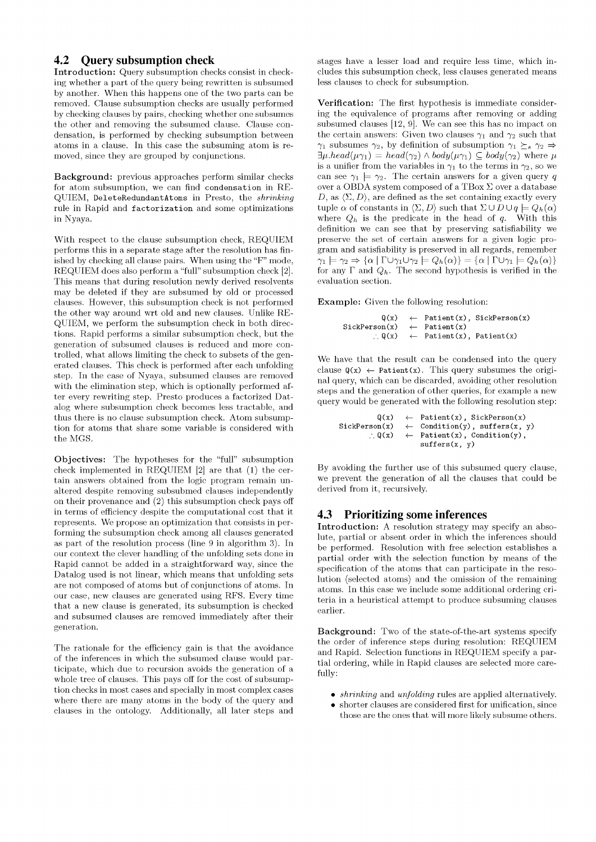### 4.2 Query subsumption check

Introduction: Query subsumption checks consist in checking whether a part of the query being rewritten is subsumed by another. When this happens one of the two parts can be removed. Clause subsumption checks are usually performed by checking clauses by pairs, checking whether one subsumes the other and removing the subsumed clause. Clause condensation, is performed by checking subsumption between atoms in a clause. In this case the subsuming atom is removed, since they are grouped by conjunctions.

Background: previous approaches perform similar checks for atom subsumption, we can find condensation in RE-QUIEM, DeleteRedundantAtoms in Presto, the shrinking rule in Rapid and factorization and some optimizations in Nyaya.

With respect to the clause subsumption check, REQUIEM performs this in a separate stage after the resolution has finished by checking all clause pairs. When using the "F" mode, REQUIEM does also perform a"full"subsumption check [2]. This means that during resolution newly derived resolvents may be deleted if they are subsumed by old or processed clauses. However, this subsumption check is not performed the other way around wrt old and new clauses. Unlike RE-QUIEM, we perform the subsumption check in both directions. Rapid performs a similar subsumption check, but the generation of subsumed clauses is reduced and more controlled, what allows limiting the check to subsets of the generated clauses. This check is performed after each unfolding step. In the case of Nyaya, subsumed clauses are removed with the elimination step, which is optionally performed after every rewriting step. Presto produces a factorized Datalog where subsumption check becomes less tractable, and thus there is no clause subsumption check. Atom subsumption for atoms that share some variable is considered with the MGS.

Objectives: The hypotheses for the "full" subsumption check implemented in REQUIEM [2] are that (1) the certain answers obtained from the logic program remain unaltered despite removing subsubmed clauses independently on their provenance and (2) this subsumption check pays off in terms of efficiency despite the computational cost that it represents. We propose an optimization that consists in performing the subsumption check among all clauses generated as part of the resolution process (line 9 in algorithm 3). In our context the clever handling of the unfolding sets done in Rapid cannot be added in a straightforward way, since the Datalog used is not linear, which means that unfolding sets are not composed of atoms but of conjunctions of atoms. In our case, new clauses are generated using RFS. Every time that a new clause is generated, its subsumption is checked and subsumed clauses are removed immediately after their generation.

The rationale for the efficiency gain is that the avoidance of the inferences in which the subsumed clause would participate, which due to recursion avoids the generation of a whole tree of clauses. This pays off for the cost of subsumption checks in most cases and specially in most complex cases where there are many atoms in the body of the query and clauses in the ontology. Additionally, all later steps and

stages have a lesser load and require less time, which includes this subsumption check, less clauses generated means less clauses to check for subsumption.

**Verification:** The first hypothesis is immediate considering the equivalence of programs after removing or adding subsumed clauses [12, 9]. We can see this has no impact on the certain answers: Given two clauses  $\gamma_1$  and  $\gamma_2$  such that  $\gamma_1$  subsumes  $\gamma_2$ , by definition of subsumption  $\gamma_1 \succeq_s \gamma_2 \Rightarrow$  $\exists \mu.head(\mu\gamma_1) = head(\gamma_2) \wedge body(\mu\gamma_1) \subseteq body(\gamma_2)$  where  $\mu$ is a unifier from the variables in  $\gamma_1$  to the terms in  $\gamma_2$ , so we can see  $\gamma_1 \models \gamma_2$ . The certain answers for a given query q over a OBDA system composed of a TBox  $\Sigma$  over a database *D*, as  $\langle \Sigma, D \rangle$ , are defined as the set containing exactly every tuple  $\alpha$  of constants in  $\langle \Sigma, D \rangle$  such that  $\Sigma \cup D \cup q \models Q_h(\alpha)$ where  $Q_h$  is the predicate in the head of  $q$ . With this definition we can see that by preserving satisfiability we preserve the set of certain answers for a given logic program and satisfiability is preserved in all regards, remember  $\gamma_1 \models \gamma_2 \Rightarrow {\alpha | \Gamma \cup \gamma_1 \cup \gamma_2 \models Q_h(\alpha)} = {\alpha | \Gamma \cup \gamma_1 \models Q_h(\alpha)}$ for any  $\Gamma$  and  $Q_h$ . The second hypothesis is verified in the evaluation section.

**Example:** Given the following resolution:

```
Q(x) \leftarrow Patient(x), SickPerson(x)
SickPerson(x) \leftarrow Patient(x)\therefore Q(x) \leftarrow Patient(x), Patient(x)
```
We have that the result can be condensed into the query clause  $Q(x) \leftarrow$  Patient(x). This query subsumes the original query, which can be discarded, avoiding other resolution steps and the generation of other queries, for example a new query would be generated with the following resolution step:

```
Q(x) \leftarrow Patient(x), SickPerson(x)
SickPerson(x) \leftarrow Condition(y), suffix(x, y)<br>
\therefore Q(x) \leftarrow Patient(x), Condition(y),Patient(x), Condition(y),
                              suffers(x, y)
```
By avoiding the further use of this subsumed query clause, we prevent the generation of all the clauses that could be derived from it, recursively.

# 4.3 Prioritizing some inferences

**Introduction:** A resolution strategy may specify an absolute, partial or absent order in which the inferences should be performed. Resolution with free selection establishes a partial order with the selection function by means of the specification of the atoms that can participate in the resolution (selected atoms) and the omission of the remaining atoms. In this case we include some additional ordering criteria in a heuristical attempt to produce subsuming clauses earlier.

**Background:** Two of the state-of-the-art systems specify the order of inference steps during resolution: REQUIEM and Rapid. Selection functions in REQUIEM specify a partial ordering, while in Rapid clauses are selected more carefully:

- • *shrinking* and *unfolding* rules are applied alternatively.
- shorter clauses are considered first for unification, since those are the ones that will more likely subsume others.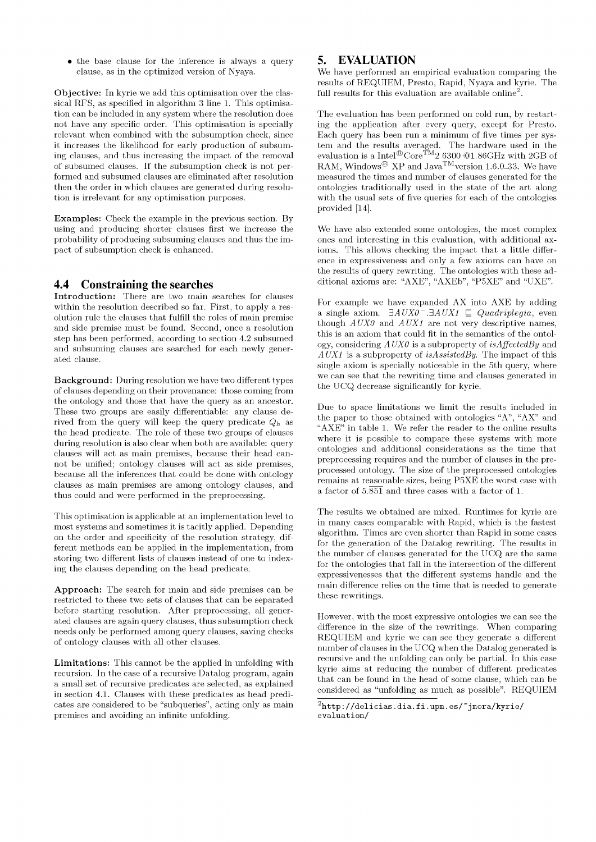• the base clause for the inference is always a query clause, as in the optimized version of Nyaya.

Objective: In kyrie we add this optimisation over the classical RFS, as specified in algorithm 3 line 1. This optimisation can be included in any system where the resolution does not have any specific order. This optimisation is specially relevant when combined with the subsumption check, since it increases the likelihood for early production of subsuming clauses, and thus increasing the impact of the removal of subsumed clauses. If the subsumption check is not performed and subsumed clauses are eliminated after resolution then the order in which clauses are generated during resolution is irrelevant for any optimisation purposes.

Examples: Check the example in the previous section. By using and producing shorter clauses first we increase the probability of producing subsuming clauses and thus the impact of subsumption check is enhanced.

## 4.4 Constraining the searches

Introduction: There are two main searches for clauses within the resolution described so far. First, to apply a resolution rule the clauses that fulfill the roles of main premise and side premise must be found. Second, once a resolution step has been performed, according to section 4.2 subsumed and subsuming clauses are searched for each newly generated clause.

Background: During resolution we have two different types of clauses depending on their provenance: those coming from the ontology and those that have the query as an ancestor. These two groups are easily differentiable: any clause derived from the query will keep the query predicate  $Q_h$  as the head predicate. The role of these two groups of clauses during resolution is also clear when both are available: query clauses will act as main premises, because their head cannot be unified; ontology clauses will act as side premises, because all the inferences that could be done with ontology clauses as main premises are among ontology clauses, and thus could and were performed in the preprocessing.

This optimisation is applicable at an implementation level to most systems and sometimes it is tacitly applied. Depending on the order and specificity of the resolution strategy, different methods can be applied in the implementation, from storing two different lists of clauses instead of one to indexing the clauses depending on the head predicate.

Approach: The search for main and side premises can be restricted to these two sets of clauses that can be separated before starting resolution. After preprocessing, all generated clauses are again query clauses, thus subsumption check needs only be performed among query clauses, saving checks of ontology clauses with all other clauses.

Limitations: This cannot be the applied in unfolding with recursion. In the case of a recursive Datalog program, again a small set of recursive predicates are selected, as explained in section 4.1. Clauses with these predicates as head predicates are considered to be "subqueries", acting only as main premises and avoiding an infinite unfolding.

# 5. EVALUATION

We have performed an empirical evaluation comparing the results of REQUIEM, Presto, Rapid, Nyaya and kyrie. The full results for this evaluation are available online<sup>2</sup>.

The evaluation has been performed on cold run, by restarting the application after every query, except for Presto. Each query has been run a minimum of five times per system and the results averaged. The hardware used in the evaluation is a Intel®Core<sup>TM</sup>2 6300 @1.86GHz with 2GB of RAM, Windows<sup>®</sup> XP and Java<sup>TM</sup> version 1.6.0\_33. We have measured the times and number of clauses generated for the ontologies traditionally used in the state of the art along with the usual sets of five queries for each of the ontologies provided [14].

We have also extended some ontologies, the most complex ones and interesting in this evaluation, with additional axioms. This allows checking the impact that a little difference in expressiveness and only a few axioms can have on the results of query rewriting. The ontologies with these additional axioms are: "AXE", "AXEb", "P5XE" and "UXE".

For example we have expanded AX into AXE by adding a single axiom.  $\exists AUX0^- \exists AUX1 \sqsubset Quadripleqia$ , even though *AUXO* and *AUX1* are not very descriptive names, this is an axiom that could fit in the semantics of the ontology, considering *A UXO* is a subproperty of *isAffectedBy* and *A UX1* is a subproperty of *isAssistedBy.* The impact of this single axiom is specially noticeable in the 5th query, where we can see that the rewriting time and clauses generated in the UCQ decrease significantly for kyrie.

Due to space limitations we limit the results included in the paper to those obtained with ontologies "A", "AX" and "AXE" in table 1. We refer the reader to the online results where it is possible to compare these systems with more ontologies and additional considerations as the time that preprocessing requires and the number of clauses in the preprocessed ontology. The size of the preprocessed ontologies remains at reasonable sizes, being P5XE the worst case with a factor of  $5.\overline{851}$  and three cases with a factor of 1.

The results we obtained are mixed. Runtimes for kyrie are in many cases comparable with Rapid, which is the fastest algorithm. Times are even shorter than Rapid in some cases for the generation of the Datalog rewriting. The results in the number of clauses generated for the UCQ are the same for the ontologies that fall in the intersection of the different expressivenesses that the different systems handle and the main difference relies on the time that is needed to generate these rewritings.

However, with the most expressive ontologies we can see the difference in the size of the rewritings. When comparing REQUIEM and kyrie we can see they generate a different number of clauses in the UCQ when the Datalog generated is recursive and the unfolding can only be partial. In this case kyrie aims at reducing the number of different predicates that can be found in the head of some clause, which can be considered as "unfolding as much as possible". REQUIEM

 $2$ http://delicias.dia.fi.upm.es/~jmora/kyrie/ [evaluation/](http://delicias.dia.fi.upm.es/~jmora/kyrie/evaluation/)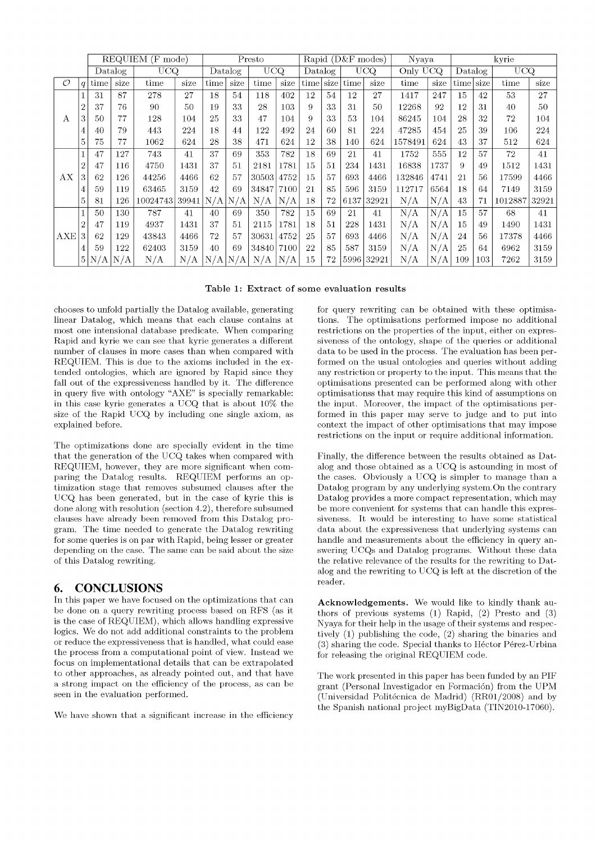|               |                | $\overline{\text{REQUIEM}}$ (F mode) |      |            |       |      | Presto                       |            |      |           | Rapid (D&F modes) |            |       |          | Nyaya     |         | kyrie |            |       |  |
|---------------|----------------|--------------------------------------|------|------------|-------|------|------------------------------|------------|------|-----------|-------------------|------------|-------|----------|-----------|---------|-------|------------|-------|--|
|               |                | Datalog                              |      | <b>UCQ</b> |       |      | $\overline{\text{Database}}$ | <b>UCQ</b> |      | Datalog   |                   | <b>UCQ</b> |       | Only UCQ |           | Datalog |       | <b>UCQ</b> |       |  |
| $\mathcal{O}$ | q              | time                                 | size | time       | size  | time | size                         | time       | size | time size |                   | time       | size  | time     | size      | time    | size  | time       | size  |  |
| А             |                | 31                                   | 87   | 278        | 27    | 18   | 54                           | 118        | 402  | 12        | 54                | 12         | 27    | 1417     | 247       | 15      | 42    | 53         | 27    |  |
|               | $\overline{2}$ | 37                                   | 76   | 90         | 50    | 19   | 33                           | 28         | 103  | 9         | 33                | 31         | 50    | 12268    | 92        | 12      | 31    | 40         | 50    |  |
|               | 3              | 50                                   | 77   | 128        | 104   | 25   | 33                           | 47         | 104  | 9         | 33                | 53         | 104   | 86245    | 104       | 28      | 32    | 72         | 104   |  |
|               |                | 40                                   | 79   | 443        | 224   | 18   | 44                           | 122        | 492  | 24        | 60                | 81         | 224   | 47285    | 454       | 25      | 39    | 106        | 224   |  |
|               | 5              | 75                                   | 77   | 1062       | 624   | 28   | 38                           | 471        | 624  | 12        | 38                | 140        | 624   | 1578491  | 624       | 43      | 37    | 512        | 624   |  |
|               |                | 47                                   | 127  | 743        | 41    | 37   | 69                           | 353        | 782  | 18        | 69                | 21         | 41    | 1752     | 555       | 12      | 57    | 72         | 41    |  |
| AX            | $\overline{2}$ | 47                                   | 116  | 4750       | 1431  | 37   | 51                           | 2181       | 1781 | 15        | 51                | 234        | 1431  | 16838    | 1737      | 9       | 49    | 1512       | 1431  |  |
|               | 3              | 62                                   | 126  | 44256      | 4466  | 62   | 57                           | 30503      | 4752 | 15        | 57                | 693        | 4466  | 132846   | 4741      | 21      | 56    | 17599      | 4466  |  |
|               | 4              | 59                                   | 119  | 63465      | 3159  | 42   | 69                           | 34847      | 7100 | 21        | 85                | 596        | 3159  | 112717   | 6564      | 18      | 64    | 7149       | 3159  |  |
|               | 5              | 81                                   | 126  | 10024743   | 39941 |      | N/A N/A                      | N/A        | N/A  | 18        | 72                | 6137       | 32921 | N/A      | N/A       | 43      | 71    | 1012887    | 32921 |  |
|               |                | 50                                   | 130  | 787        | 41    | 40   | 69                           | 350        | 782  | 15        | 69                | 21         | 41    | N/A      | N/A       | 15      | 57    | 68         | 41    |  |
| AXE           | $\overline{2}$ | 47                                   | 119  | 4937       | 1431  | 37   | 51                           | 2115       | 1781 | 18        | 51                | 228        | 1431  | N/A      | N/A       | 15      | 49    | 1490       | 1431  |  |
|               | 3              | 62                                   | 129  | 43843      | 4466  | 72   | 57                           | 30631      | 4752 | 25        | 57                | 693        | 4466  | N/A      | N/A       | 24      | 56    | 17378      | 4466  |  |
|               |                | 59                                   | 122  | 62403      | 3159  | 40   | 69                           | 34840      | 7100 | 22        | 85                | 587        | 3159  | N/A      | $\rm N/A$ | 25      | 64    | 6962       | 3159  |  |
|               | 5              | N/A                                  | N/A  | N/A        | N/A   |      | N/A N/A                      | N/A        | N/A  | 15        | 72                | 5996       | 32921 | N/A      | N/A       | 109     | 103   | 7262       | 3159  |  |

Table 1: Extract of some evaluation results

chooses to unfold partially the Datalog available, generating linear Datalog, which means that each clause contains at most one intensional database predicate. When comparing Rapid and kyrie we can see that kyrie generates a different number of clauses in more cases than when compared with REQUIEM. This is due to the axioms included in the extended ontologies, which are ignored by Rapid since they fall out of the expressiveness handled by it. The difference in query five with ontology "AXE" is specially remarkable: in this case kyrie generates a UCQ that is about 10% the size of the Rapid UCQ by including one single axiom, as explained before.

The optimizations done are specially evident in the time that the generation of the UCQ takes when compared with REQUIEM, however, they are more significant when comparing the Datalog results. REQUIEM performs an optimization stage that removes subsumed clauses after the UCQ has been generated, but in the case of kyrie this is done along with resolution (section 4.2), therefore subsumed clauses have already been removed from this Datalog program. The time needed to generate the Datalog rewriting for some queries is on par with Rapid, being lesser or greater depending on the case. The same can be said about the size of this Datalog rewriting.

# 6. CONCLUSIONS

In this paper we have focused on the optimizations that can be done on a query rewriting process based on RFS (as it is the case of REQUIEM), which allows handling expressive logics. We do not add additional constraints to the problem or reduce the expressiveness that is handled, what could ease the process from a computational point of view. Instead we focus on implementational details that can be extrapolated to other approaches, as already pointed out, and that have a strong impact on the efficiency of the process, as can be seen in the evaluation performed.

We have shown that a significant increase in the efficiency

for query rewriting can be obtained with these optimisations. The optimisations performed impose no additional restrictions on the properties of the input, either on expressiveness of the ontology, shape of the queries or additional data to be used in the process. The evaluation has been performed on the usual ontologies and queries without adding any restriction or property to the input. This means that the optimisations presented can be performed along with other optimisationss that may require this kind of assumptions on the input. Moreover, the impact of the optimisations performed in this paper may serve to judge and to put into context the impact of other optimisations that may impose restrictions on the input or require additional information.

Finally, the difference between the results obtained as Datalog and those obtained as a UCQ is astounding in most of the cases. Obviously a UCQ is simpler to manage than a Datalog program by any underlying system.On the contrary Datalog provides a more compact representation, which may be more convenient for systems that can handle this expressiveness. It would be interesting to have some statistical data about the expressiveness that underlying systems can handle and measurements about the efficiency in query answering UCQs and Datalog programs. Without these data the relative relevance of the results for the rewriting to Datalog and the rewriting to UCQ is left at the discretion of the reader.

Acknowledgements. We would like to kindly thank authors of previous systems (1) Rapid, (2) Presto and (3) Nyaya for their help in the usage of their systems and respectively (1) publishing the code, (2) sharing the binaries and  $(3)$  sharing the code. Special thanks to Héctor Pérez-Urbina for releasing the original REQUIEM code.

The work presented in this paper has been funded by an PIF grant (Personal Investigador en Formación) from the UPM (Universidad Politécnica de Madrid) (RR01/2008) and by the Spanish national project myBigData (TIN2010-17060).